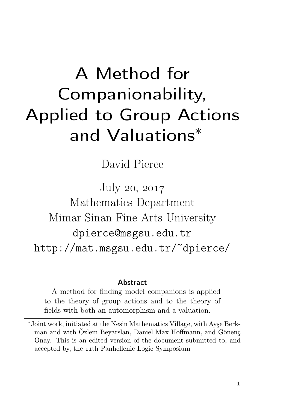# A Method for Companionability, Applied to Group Actions and Valuations<sup>∗</sup>

David Pierce

July 20, 2017 Mathematics Department Mimar Sinan Fine Arts University dpierce@msgsu.edu.tr http://mat.msgsu.edu.tr/~dpierce/

#### **Abstract**

A method for finding model companions is applied to the theory of group actions and to the theory of fields with both an automorphism and a valuation.

<sup>∗</sup>Joint work, initiated at the Nesin Mathematics Village, with Ayşe Berkman and with Özlem Beyarslan, Daniel Max Hoffmann, and Gönenç Onay. This is an edited version of the document submitted to, and accepted by, the 11<sup>th</sup> Panhellenic Logic Symposium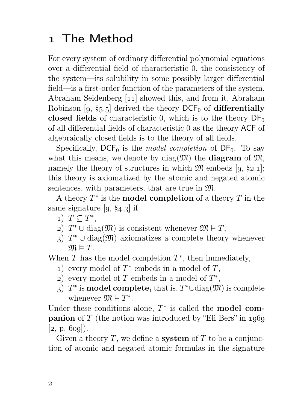### The Method

For every system of ordinary differential polynomial equations over a differential field of characteristic 0, the consistency of the system—its solubility in some possibly larger differential field—is a first-order function of the parameters of the system. Abraham Seidenberg  $[11]$  showed this, and from it, Abraham Robinson  $[9, §5.5]$  derived the theory DCF<sub>0</sub> of differentially closed fields of characteristic 0, which is to the theory  $DF_0$ of all differential fields of characteristic 0 as the theory ACF of algebraically closed fields is to the theory of all fields.

Specifically,  $\text{DCF}_0$  is the model completion of  $\text{DF}_0$ . To say what this means, we denote by  $diag(\mathfrak{M})$  the **diagram** of  $\mathfrak{M}$ , namely the theory of structures in which  $\mathfrak{M}$  embeds [9, §2.1]; this theory is axiomatized by the atomic and negated atomic sentences, with parameters, that are true in M.

A theory  $T^*$  is the **model completion** of a theory  $T$  in the same signature  $[9, §4.3]$  if

- 1)  $T \subseteq T^*$ ,
- 2)  $T^* \cup \text{diag}(\mathfrak{M})$  is consistent whenever  $\mathfrak{M} \models T$ ,
- 3)  $T^* \cup \text{diag}(\mathfrak{M})$  axiomatizes a complete theory whenever  $\mathfrak{M} \models T$ .

When  $T$  has the model completion  $T^*$ , then immediately,

- 1) every model of  $T^*$  embeds in a model of  $T$ ,
- 2) every model of  $T$  embeds in a model of  $T^*$ ,
- 3)  $T^*$  is **model complete**, that is,  $T^* \cup \text{diag}(\mathfrak{M})$  is complete whenever  $\mathfrak{M} \models T^*$ .

Under these conditions alone,  $T^*$  is called the **model companion** of T (the notion was introduced by "Eli Bers" in 1969  $[2, p. 609]$ ).

Given a theory T, we define a **system** of T to be a conjunction of atomic and negated atomic formulas in the signature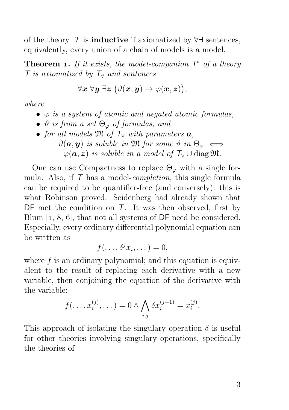of the theory. T is **inductive** if axiomatized by  $\forall \exists$  sentences, equivalently, every union of a chain of models is a model.

**Theorem 1.** If it exists, the model-companion  $T^*$  of a theory  $\overline{T}$  is axiomatized by  $\overline{T_{\forall}}$  and sentences

$$
\forall \boldsymbol{x}~ \forall \boldsymbol{y}~ \exists \boldsymbol{z}~ \big( \vartheta(\boldsymbol{x}, \boldsymbol{y}) \to \varphi(\boldsymbol{x}, \boldsymbol{z}) \big),
$$

where

- $\varphi$  is a system of atomic and negated atomic formulas,
- $\vartheta$  is from a set  $\Theta_{\varphi}$  of formulas, and
- for all models  $\mathfrak{M}$  of  $\mathcal{T}_{\forall}$  with parameters  $\boldsymbol{a}$ ,  $\vartheta(\mathbf{a}, \mathbf{y})$  is soluble in M for some  $\vartheta$  in  $\Theta_{\varphi} \iff$  $\varphi(\mathbf{a}, \mathbf{z})$  is soluble in a model of  $T_\forall \cup \text{diag} \mathfrak{M}$ .

One can use Compactness to replace  $\Theta_{\varphi}$  with a single formula. Also, if  $\tau$  has a model-*completion*, this single formula can be required to be quantifier-free (and conversely): this is what Robinson proved. Seidenberg had already shown that DF met the condition on T. It was then observed, first by Blum  $[1, 8, 6]$ , that not all systems of  $DF$  need be considered. Especially, every ordinary differential polynomial equation can be written as

$$
f(\ldots,\delta^j x_i,\ldots)=0,
$$

where  $f$  is an ordinary polynomial; and this equation is equivalent to the result of replacing each derivative with a new variable, then conjoining the equation of the derivative with the variable:

$$
f(\ldots, x_i^{(j)}, \ldots) = 0 \wedge \bigwedge_{i,j} \delta x_i^{(j-1)} = x_i^{(j)}.
$$

This approach of isolating the singulary operation  $\delta$  is useful for other theories involving singulary operations, specifically the theories of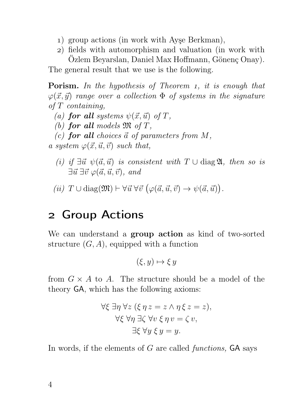- ) group actions (in work with Ayşe Berkman),
- ) fields with automorphism and valuation (in work with Özlem Beyarslan, Daniel Max Hoffmann, Gönenç Onay).

The general result that we use is the following.

**Porism.** In the hypothesis of Theorem 1, it is enough that  $\varphi(\vec{x}, \vec{y})$  range over a collection  $\Phi$  of systems in the signature of T containing,

- (a) for all systems  $\psi(\vec{x}, \vec{u})$  of T,
- (b) for all models  $\mathfrak{M}$  of T,
- (c) for all choices  $\vec{a}$  of parameters from M,

a system  $\varphi(\vec{x}, \vec{u}, \vec{v})$  such that,

- (i) if  $\exists \vec{u} \; \psi(\vec{a}, \vec{u})$  is consistent with  $T \cup \text{diag } \mathfrak{A}$ , then so is  $\exists \vec{u}~\exists \vec{v}~\varphi(\vec{a}, \vec{u}, \vec{v}),$  and
- (*ii*)  $T \cup diag(\mathfrak{M}) \vdash \forall \vec{u} \; \forall \vec{v} \; (\varphi(\vec{a}, \vec{u}, \vec{v}) \rightarrow \psi(\vec{a}, \vec{u}))$ .

#### Group Actions

We can understand a **group action** as kind of two-sorted structure  $(G, A)$ , equipped with a function

$$
(\xi, y) \mapsto \xi y
$$

from  $G \times A$  to A. The structure should be a model of the theory GA, which has the following axioms:

$$
\forall \xi \exists \eta \,\forall z \, (\xi \,\eta \, z = z \land \eta \, \xi \, z = z),
$$

$$
\forall \xi \,\forall \eta \,\exists \zeta \,\forall v \, \xi \,\eta \, v = \zeta \, v,
$$

$$
\exists \xi \,\forall y \, \xi \, y = y.
$$

In words, if the elements of  $G$  are called *functions*.  $GA$  says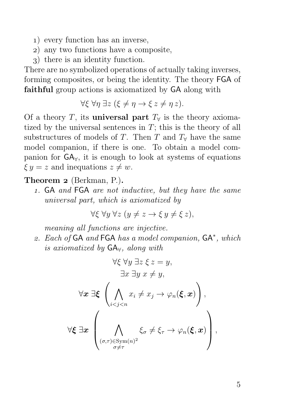- ) every function has an inverse,
- ) any two functions have a composite,
- ) there is an identity function.

There are no symbolized operations of actually taking inverses, forming composites, or being the identity. The theory FGA of faithful group actions is axiomatized by GA along with

$$
\forall \xi \,\forall \eta \,\exists z \,(\xi \neq \eta \rightarrow \xi \,z \neq \eta \,z).
$$

Of a theory T, its **universal part**  $T_\forall$  is the theory axiomatized by the universal sentences in  $T$ ; this is the theory of all substructures of models of T. Then T and  $T_{\rm Y}$  have the same model companion, if there is one. To obtain a model companion for GA∀, it is enough to look at systems of equations  $\xi y = z$  and inequations  $z \neq w$ .

Theorem 2 (Berkman, P.).

. GA and FGA are not inductive, but they have the same universal part, which is axiomatized by

$$
\forall \xi \ \forall y \ \forall z \ (y \neq z \rightarrow \xi \ y \neq \xi \ z),
$$

meaning all functions are injective.

2. Each of GA and FGA has a model companion, GA<sup>\*</sup>, which is axiomatized by  $GA_{\forall}$ , along with

$$
\forall \xi \ \forall y \ \exists z \ \xi \ z = y,
$$
  

$$
\exists x \ \exists y \ x \neq y,
$$
  

$$
\forall x \ \exists \xi \ \left( \bigwedge_{i < j < n} x_i \neq x_j \rightarrow \varphi_n(\xi, x) \right),
$$
  

$$
\forall \xi \ \exists x \ \left( \bigwedge_{\substack{(\sigma, \tau) \in \text{Sym}(n)^2 \\ \sigma \neq \tau}} \xi_{\sigma} \neq \xi_{\tau} \rightarrow \varphi_n(\xi, x) \right),
$$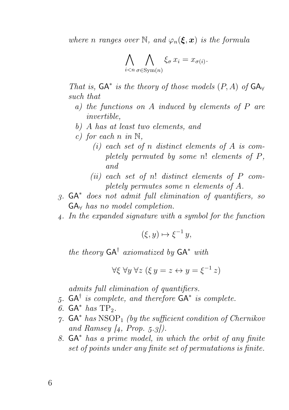where n ranges over N, and  $\varphi_n(\xi, x)$  is the formula

$$
\bigwedge_{i < n} \bigwedge_{\sigma \in \text{Sym}(n)} \xi_{\sigma} \, x_i = x_{\sigma(i)}.
$$

That is,  $GA^*$  is the theory of those models  $(P, A)$  of  $GA_v$ such that

- a) the functions on  $A$  induced by elements of  $P$  are invertible,
- b) A has at least two elements, and
- c) for each n in  $\mathbb{N}$ .
	- (i) each set of n distinct elements of  $A$  is completely permuted by some n! elements of P, and
	- (ii) each set of n! distinct elements of  $P$  completely permutes some n elements of A.
- . GA<sup>∗</sup> does not admit full elimination of quantifiers, so  $GA_{\forall}$  has no model completion.
- . In the expanded signature with a symbol for the function

 $(\xi, y) \mapsto \xi^{-1} y,$ 

the theory  $GA^{\dagger}$  axiomatized by  $GA^*$  with

$$
\forall \xi \ \forall y \ \forall z \ (\xi \ y = z \leftrightarrow y = \xi^{-1} \ z)
$$

admits full elimination of quantifiers.

- 5.  $GA^{\dagger}$  is complete, and therefore  $GA^*$  is complete.
- 6.  $GA^*$  has  $TP_2$ .
- $\gamma$ . GA<sup>\*</sup> has NSOP<sub>1</sub> (by the sufficient condition of Chernikov and Ramsey  $\left(4, Prop. 5.3\right)$ .
- . GA<sup>∗</sup> has a prime model, in which the orbit of any finite set of points under any finite set of permutations is finite.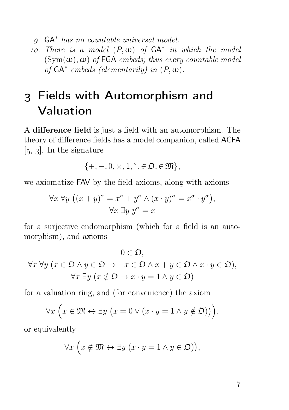. GA<sup>∗</sup> has no countable universal model.

10. There is a model  $(P, \omega)$  of  $GA^*$  in which the model  $(Sym(\omega), \omega)$  of FGA embeds; thus every countable model of  $GA^*$  embeds (elementarily) in  $(P, \omega)$ .

## Fields with Automorphism and Valuation

A difference field is just a field with an automorphism. The theory of difference fields has a model companion, called ACFA  $[5, 3]$ . In the signature

$$
\{+,-,0,\times,1,{}^\sigma,\in\mathfrak{O},\in\mathfrak{M}\},
$$

we axiomatize FAV by the field axioms, along with axioms

$$
\forall x \forall y \ ((x+y)^{\sigma} = x^{\sigma} + y^{\sigma} \land (x \cdot y)^{\sigma} = x^{\sigma} \cdot y^{\sigma}),
$$

$$
\forall x \exists y \ y^{\sigma} = x
$$

for a surjective endomorphism (which for a field is an automorphism), and axioms

$$
0 \in \mathfrak{O},
$$
  
\n
$$
\forall x \forall y \ (x \in \mathfrak{O} \land y \in \mathfrak{O} \to -x \in \mathfrak{O} \land x + y \in \mathfrak{O} \land x \cdot y \in \mathfrak{O}),
$$
  
\n
$$
\forall x \exists y \ (x \notin \mathfrak{O} \to x \cdot y = 1 \land y \in \mathfrak{O})
$$

for a valuation ring, and (for convenience) the axiom

$$
\forall x \left( x \in \mathfrak{M} \leftrightarrow \exists y \left( x = 0 \vee (x \cdot y = 1 \wedge y \notin \mathfrak{O}) \right) \right),
$$

or equivalently

$$
\forall x \left( x \notin \mathfrak{M} \leftrightarrow \exists y \left( x \cdot y = 1 \land y \in \mathfrak{O} \right) \right),
$$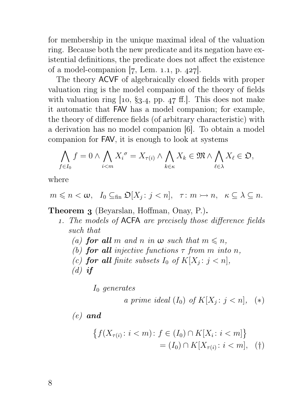for membership in the unique maximal ideal of the valuation ring. Because both the new predicate and its negation have existential definitions, the predicate does not affect the existence of a model-companion  $[7, \text{ Lem. } 1.1, \text{ p. } 427].$ 

The theory ACVF of algebraically closed fields with proper valuation ring is the model companion of the theory of fields with valuation ring  $[10, §3.4, pp. 47 \text{ ff.}].$  This does not make it automatic that FAV has a model companion; for example, the theory of difference fields (of arbitrary characteristic) with a derivation has no model companion [6]. To obtain a model companion for FAV, it is enough to look at systems

$$
\bigwedge_{f\in I_0} f=0 \wedge \bigwedge_{i
$$

where

$$
m\leqslant n<\omega,\quad I_0\subseteq_{\text{fin}}\mathfrak{O}[X_j\colon j
$$

Theorem 3 (Beyarslan, Hoffman, Onay, P.).

- . The models of ACFA are precisely those difference fields such that
	- (a) for all m and n in  $\omega$  such that  $m \leq n$ ,
	- (b) for all injective functions  $\tau$  from m into n,
	- (c) **for all** finite subsets  $I_0$  of  $K[X_j : j < n]$ ,
	- $(d)$  if

I<sup>0</sup> generates

a prime ideal 
$$
(I_0)
$$
 of  $K[X_j : j < n]$ , (\*)

 $(e)$  and

$$
\{f(X_{\tau(i)} : i < m) : f \in (I_0) \cap K[X_i : i < m] \} \\
= (I_0) \cap K[X_{\tau(i)} : i < m], \quad (\dagger)
$$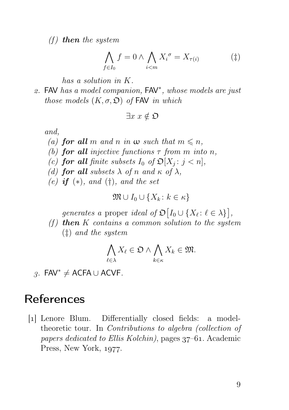(f) then the system

$$
\bigwedge_{f \in I_0} f = 0 \land \bigwedge_{i < m} X_i^{\sigma} = X_{\tau(i)} \tag{\ddagger}
$$

has a solution in K.

2. FAV has a model companion, FAV<sup>\*</sup>, whose models are just those models  $(K, \sigma, \mathfrak{O})$  of FAV in which

$$
\exists x \ x \notin \mathfrak{O}
$$

and,

- (a) for all m and n in  $\omega$  such that  $m \leq n$ ,
- (b) for all injective functions  $\tau$  from m into n,
- (c) **for all** finite subsets  $I_0$  of  $\mathfrak{O}[X_j : j < n]$ ,
- (d) for all subsets  $\lambda$  of n and  $\kappa$  of  $\lambda$ ,
- (e) if  $(*)$ , and  $(t)$ , and the set

$$
\mathfrak{M} \cup I_0 \cup \{X_k \colon k \in \kappa\}
$$

generates a proper ideal of  $\mathfrak{O}[I_0 \cup \{X_\ell : \ell \in \lambda\}],$ 

(f) then  $K$  contains a common solution to the system (‡) and the system

$$
\bigwedge_{\ell \in \lambda} X_{\ell} \in \mathfrak{O} \land \bigwedge_{k \in \kappa} X_{k} \in \mathfrak{M}.
$$

 $3.$  FAV<sup>\*</sup>  $\neq$  ACFA ∪ ACVF.

#### References

[1] Lenore Blum. Differentially closed fields: a modeltheoretic tour. In Contributions to algebra (collection of papers dedicated to Ellis Kolchin), pages  $37-61$ . Academic Press, New York, 1977.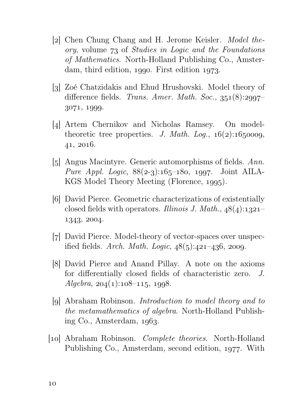- [2] Chen Chung Chang and H. Jerome Keisler. Model the $ory, volume 73 of Studies in Logic and the Foundations$ of Mathematics. North-Holland Publishing Co., Amsterdam, third edition,  $1990$ . First edition  $1973$ .
- [3] Zoé Chatzidakis and Ehud Hrushovski. Model theory of difference fields. Trans. Amer. Math. Soc.,  $351(8):2997-$ 3071, 1999.
- [4] Artem Chernikov and Nicholas Ramsey. On modeltheoretic tree properties. J. Math. Log.,  $16(2):1650009$ ,  $41, 2016.$
- [5] Angus Macintyre. Generic automorphisms of fields. Ann. *Pure Appl. Logic*,  $88(2-3):165-180$ , 1997. Joint AILA-KGS Model Theory Meeting (Florence, 1995).
- [6] David Pierce. Geometric characterizations of existentially closed fields with operators. Illinois J. Math.,  $48(4):1321-$ 1343, 2004.
- [7] David Pierce. Model-theory of vector-spaces over unspecified fields. Arch. Math. Logic,  $48(5):421-436$ , 2009.
- [] David Pierce and Anand Pillay. A note on the axioms for differentially closed fields of characteristic zero. J.  $Algebra$ ,  $204(1):108-115$ , 1998.
- [9] Abraham Robinson. *Introduction to model theory and to* the metamathematics of algebra. North-Holland Publishing  $Co.$  Amsterdam,  $1063.$
- [10] Abraham Robinson. *Complete theories*. North-Holland Publishing Co., Amsterdam, second edition, 1977. With